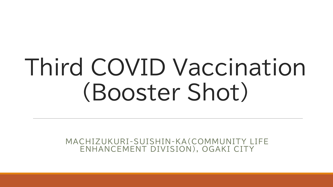# Third COVID Vaccination (Booster Shot)

MACHIZUKURI-SUISHIN-KA(COMMUNITY LIFE ENHANCEMENT DIVISION), OGAKI CITY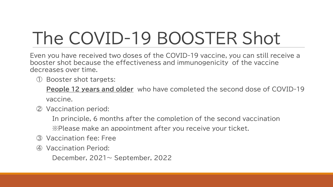#### The COVID-19 BOOSTER Shot

Even you have received two doses of the COVID-19 vaccine, you can still receive a booster shot because the effectiveness and immunogenicity of the vaccine decreases over time.

① Booster shot targets:

**People 12 years and older** who have completed the second dose of COVID-19 vaccine.

② Vaccination period:

In principle, 6 months after the completion of the second vaccination ※Please make an appointment after you receive your ticket.

- ③ Vaccination fee: Free
- Vaccination Period:

December, 2021~ September, 2022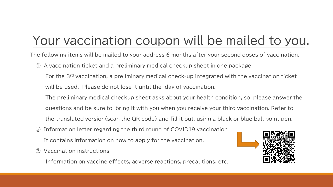#### Your vaccination coupon will be mailed to you.

The following items will be mailed to your address 6 months after your second doses of vaccination.

- ① A vaccination ticket and a preliminary medical checkup sheet in one package
	- For the 3rd vaccination, a preliminary medical check-up integrated with the vaccination ticket will be used. Please do not lose it until the day of vaccination.
	- The preliminary medical checkup sheet asks about your health condition, so please answer the
	- questions and be sure to bring it with you when you receive your third vaccination. Refer to
	- the translated version(scan the QR code) and fill it out, using a black or blue ball point pen.
- Information letter regarding the third round of COVID19 vaccination
	- It contains information on how to apply for the vaccination.
- ③ Vaccination instructions

Information on vaccine effects, adverse reactions, precautions, etc.

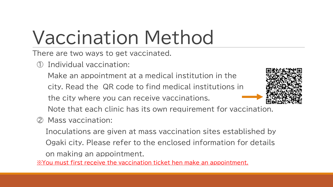### Vaccination Method

There are two ways to get vaccinated.

Individual vaccination:

Make an appointment at a medical institution in the

city. Read the QR code to find medical institutions in

the city where you can receive vaccinations.



Note that each clinic has its own requirement for vaccination.

② Mass vaccination:

Inoculations are given at mass vaccination sites established by Ogaki city. Please refer to the enclosed information for details on making an appointment.

※You must first receive the vaccination ticket hen make an appointment.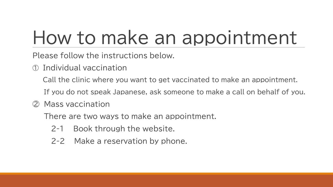#### How to make an appointment

Please follow the instructions below.

- ① Individual vaccination
	- Call the clinic where you want to get vaccinated to make an appointment.
	- If you do not speak Japanese, ask someone to make a call on behalf of you.
- ② Mass vaccination

There are two ways to make an appointment.

- 2-1 Book through the website.
- 2-2 Make a reservation by phone.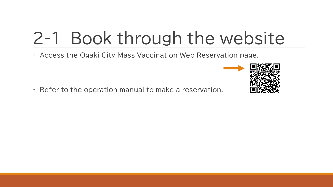#### 2-1 Book through the website

・ Access the Ogaki City Mass Vaccination Web Reservation page.

・ Refer to the operation manual to make a reservation.

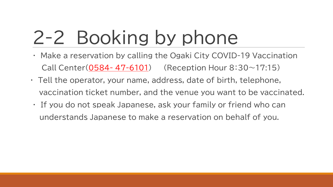## 2-2 Booking by phone

- ・ Make a reservation by calling the Ogaki City COVID-19 Vaccination Call Center( $0584 - 47 - 6101$ ) (Reception Hour  $8:30 \sim 17:15$ )
- ・ Tell the operator, your name, address, date of birth, telephone, vaccination ticket number, and the venue you want to be vaccinated.
- ・ If you do not speak Japanese, ask your family or friend who can understands Japanese to make a reservation on behalf of you.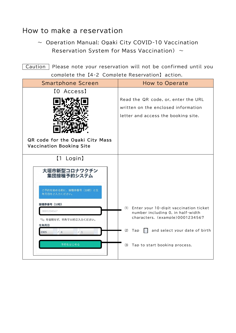#### How to make a reservation

 $\sim$  Operation Manual: Ogaki City COVID-10 Vaccination Reservation System for Mass Vaccination)  $\sim$ 

Caution Please note your reservation will not be confirmed until you complete the 【4-2 Complete Reservation】 action.

| <b>Smartphone Screen</b>                 | <b>How to Operate</b>                         |
|------------------------------------------|-----------------------------------------------|
| [O Access]                               |                                               |
|                                          | Read the QR code, or, enter the URL           |
|                                          | written on the enclosed information           |
|                                          | letter and access the booking site.           |
|                                          |                                               |
|                                          |                                               |
| QR code for the Ogaki City Mass          |                                               |
| <b>Vaccination Booking Site</b>          |                                               |
| [1 Login]                                |                                               |
| 大垣市新型コロナワクチン<br>集団接種予約システム               |                                               |
| ご予約を始める前に、接種券番号 (10桁) と生<br>年月日をご入力ください。 |                                               |
| 接種券番号 (10桁)                              | Enter your 10-digit vaccination ticket<br>(1) |
| 0001234567                               | number including 0, in half-width             |
| 「0」を省略せず、半角で10桁ご入力ください。                  | characters. (example)0001234567               |
| 生年月日<br>/1<br>/4<br>2005                 | (2)<br>and select your date of birth<br>Tap   |
|                                          |                                               |
| 予約をはじめる                                  | Tap to start booking process.<br>(3)          |
|                                          |                                               |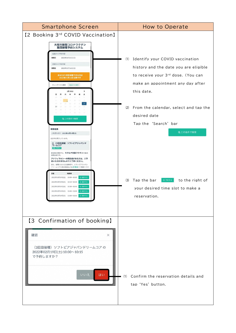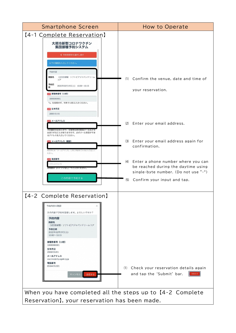| <b>Smartphone Screen</b>                                                                                                                                                                                                                                                                                        | How to Operate                                                                                                                                           |  |
|-----------------------------------------------------------------------------------------------------------------------------------------------------------------------------------------------------------------------------------------------------------------------------------------------------------------|----------------------------------------------------------------------------------------------------------------------------------------------------------|--|
| [4-1 Complete Reservation]                                                                                                                                                                                                                                                                                      |                                                                                                                                                          |  |
| 大垣市新型コロナワクチン                                                                                                                                                                                                                                                                                                    |                                                                                                                                                          |  |
| 集団接種予約システム<br>く 予約時間枠を選択し直す<br>以下の情報を入力してください。<br>予約内容<br>施設名<br>(3回目接種) ソフトピアジャパンドリーム<br>コア<br>予約日<br>2022年02月19日(土) 10:00~10:15<br>23 接種券番号 (10桁)<br>1000000001<br>「O」を省略せず、半角で10桁ご入力ください。<br>33 生年月日<br>2000-01-01<br>■ メールアドレス<br>予約確定のお知らせや、災害発生時の緊急メールなどを<br>お送りすることがありますので、必ずメール受信ができ<br>るアドレスを入力してください。 | Confirm the venue, date and time of<br>(1)<br>your reservation.<br>(2)<br>Enter your email address.                                                      |  |
| ■ メールアドレス (確認)<br>確認のため「メールアドレス」と同じ内容をこちらにもご記入。<br>ださい。                                                                                                                                                                                                                                                         | (3) Enter your email address again for<br>confirmation.                                                                                                  |  |
| ※ 電話番号<br>09012345678<br>:月数子(ハイノンなし)でご人刀ください。<br>この内容で予約する                                                                                                                                                                                                                                                     | (4) Enter a phone number where you can<br>be reached during the daytime using<br>single-byte number. (Do not use "-")<br>(5) Confirm your input and tap. |  |
| [4-2 Complete Reservation]                                                                                                                                                                                                                                                                                      |                                                                                                                                                          |  |
| 予約内容の確認<br>×<br>次の内容で予約を登録します。よろしいですか?<br>予約内容<br>施設名<br>(3回目接種) ソフトピアジャパンドリームコア<br>予約日時<br>2022年02月19日(土)<br>$10:00 \sim 10:15$<br>接種券番号 (10桁)<br>1000000001<br>生年月日<br>2000/01/01<br>メールアドレス<br>vaccine@city.ogaki.lg.jp<br>電話番号<br>0584476101<br>キャンセル  <br>送信する                                             | Check your reservation details again<br>(1)<br>and tap the 'Submit' bar.<br>次理4を                                                                         |  |
| When you have completed all the steps up to [4-2 Complete                                                                                                                                                                                                                                                       |                                                                                                                                                          |  |
| Reservation], your reservation has been made.                                                                                                                                                                                                                                                                   |                                                                                                                                                          |  |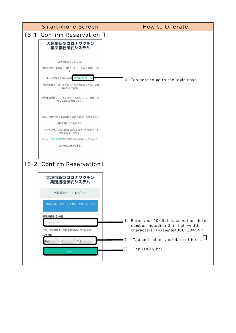